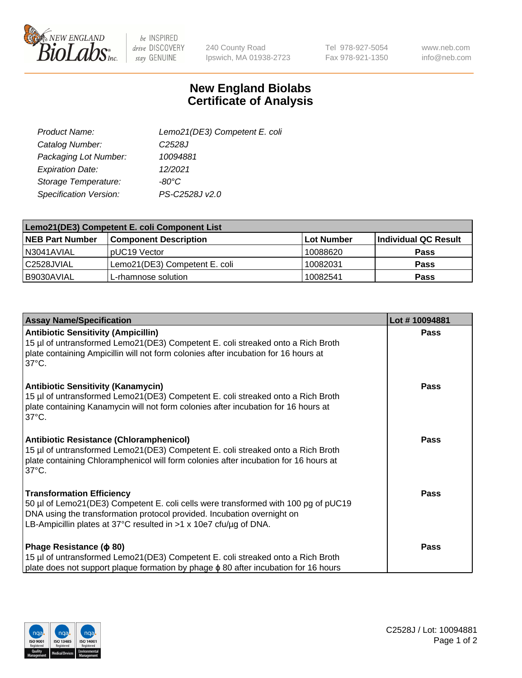

 $be$  INSPIRED drive DISCOVERY stay GENUINE

240 County Road Ipswich, MA 01938-2723 Tel 978-927-5054 Fax 978-921-1350

www.neb.com info@neb.com

## **New England Biolabs Certificate of Analysis**

| Lemo21(DE3) Competent E. coli |
|-------------------------------|
| C <sub>2528</sub> J           |
| 10094881                      |
| 12/2021                       |
| $-80^{\circ}$ C               |
| PS-C2528J v2.0                |
|                               |

| Lemo21(DE3) Competent E. coli Component List |                               |                   |                      |  |
|----------------------------------------------|-------------------------------|-------------------|----------------------|--|
| <b>NEB Part Number</b>                       | <b>Component Description</b>  | <b>Lot Number</b> | Individual QC Result |  |
| I N3041AVIAL                                 | IpUC19 Vector                 | 10088620          | <b>Pass</b>          |  |
| C2528JVIAL                                   | Lemo21(DE3) Competent E. coli | 10082031          | <b>Pass</b>          |  |
| B9030AVIAL                                   | L-rhamnose solution           | 10082541          | <b>Pass</b>          |  |

| <b>Assay Name/Specification</b>                                                                                                                                                                                                                                               | Lot #10094881 |
|-------------------------------------------------------------------------------------------------------------------------------------------------------------------------------------------------------------------------------------------------------------------------------|---------------|
| <b>Antibiotic Sensitivity (Ampicillin)</b><br>15 µl of untransformed Lemo21(DE3) Competent E. coli streaked onto a Rich Broth<br>plate containing Ampicillin will not form colonies after incubation for 16 hours at<br>$37^{\circ}$ C.                                       | <b>Pass</b>   |
| <b>Antibiotic Sensitivity (Kanamycin)</b><br>15 µl of untransformed Lemo21(DE3) Competent E. coli streaked onto a Rich Broth<br>plate containing Kanamycin will not form colonies after incubation for 16 hours at<br>$37^{\circ}$ C.                                         | Pass          |
| <b>Antibiotic Resistance (Chloramphenicol)</b><br>15 µl of untransformed Lemo21(DE3) Competent E. coli streaked onto a Rich Broth<br>plate containing Chloramphenicol will form colonies after incubation for 16 hours at<br>$37^{\circ}$ C.                                  | <b>Pass</b>   |
| <b>Transformation Efficiency</b><br>50 µl of Lemo21(DE3) Competent E. coli cells were transformed with 100 pg of pUC19<br>DNA using the transformation protocol provided. Incubation overnight on<br>LB-Ampicillin plates at 37°C resulted in $>1 \times 10e7$ cfu/ug of DNA. | <b>Pass</b>   |
| Phage Resistance ( $\phi$ 80)<br>15 µl of untransformed Lemo21(DE3) Competent E. coli streaked onto a Rich Broth<br>plate does not support plaque formation by phage φ 80 after incubation for 16 hours                                                                       | <b>Pass</b>   |